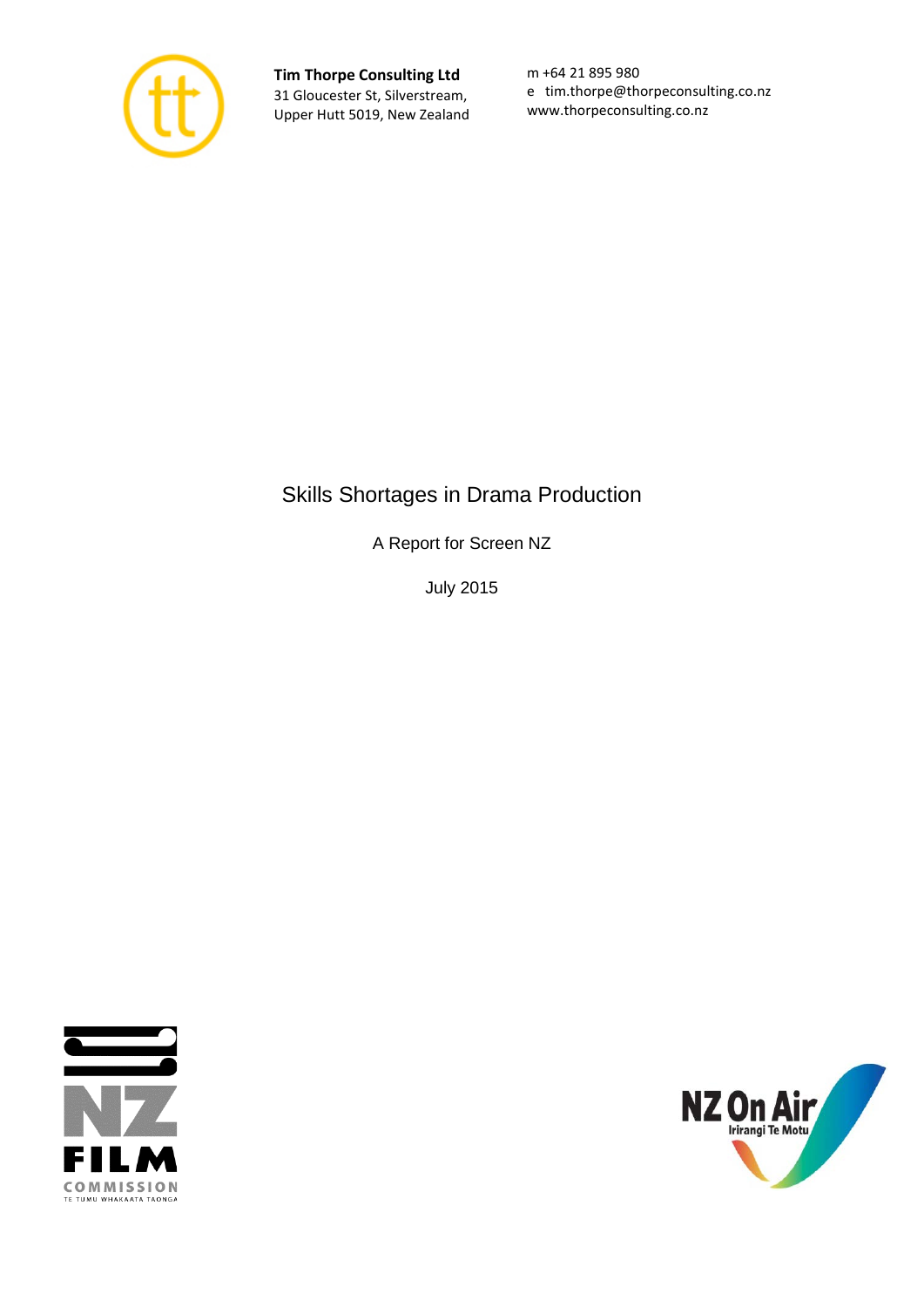

**Tim Thorpe Consulting Ltd** 31 Gloucester St, Silverstream, Upper Hutt 5019, New Zealand

m +64 21 895 980 e tim.thorpe@thorpeconsulting.co.nz www.thorpeconsulting.co.nz

# Skills Shortages in Drama Production

A Report for Screen NZ

July 2015



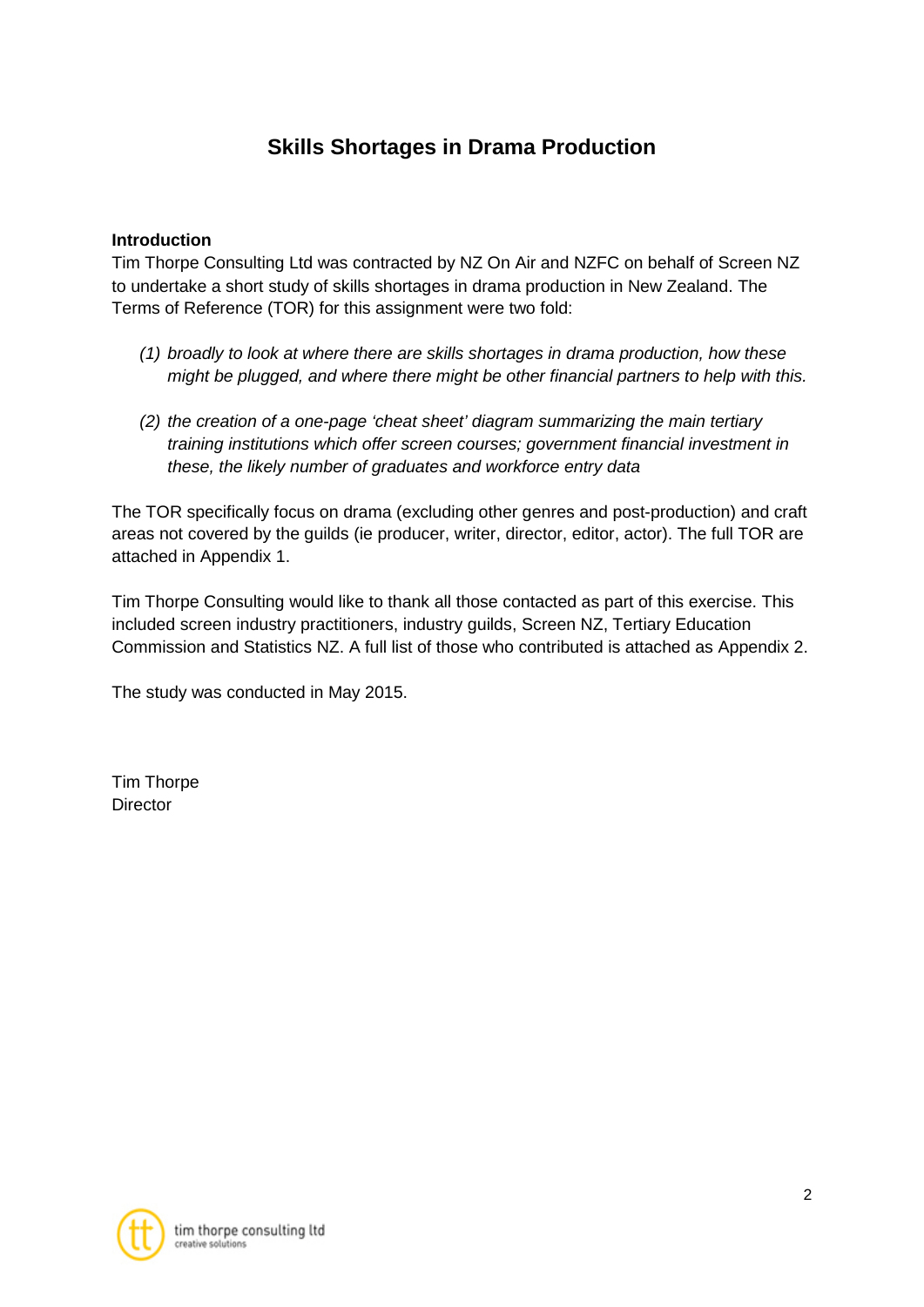# **Skills Shortages in Drama Production**

# **Introduction**

Tim Thorpe Consulting Ltd was contracted by NZ On Air and NZFC on behalf of Screen NZ to undertake a short study of skills shortages in drama production in New Zealand. The Terms of Reference (TOR) for this assignment were two fold:

- *(1) broadly to look at where there are skills shortages in drama production, how these might be plugged, and where there might be other financial partners to help with this.*
- *(2) the creation of a one-page 'cheat sheet' diagram summarizing the main tertiary training institutions which offer screen courses; government financial investment in these, the likely number of graduates and workforce entry data*

The TOR specifically focus on drama (excluding other genres and post-production) and craft areas not covered by the guilds (ie producer, writer, director, editor, actor). The full TOR are attached in Appendix 1.

Tim Thorpe Consulting would like to thank all those contacted as part of this exercise. This included screen industry practitioners, industry guilds, Screen NZ, Tertiary Education Commission and Statistics NZ. A full list of those who contributed is attached as Appendix 2.

The study was conducted in May 2015.

Tim Thorpe **Director** 

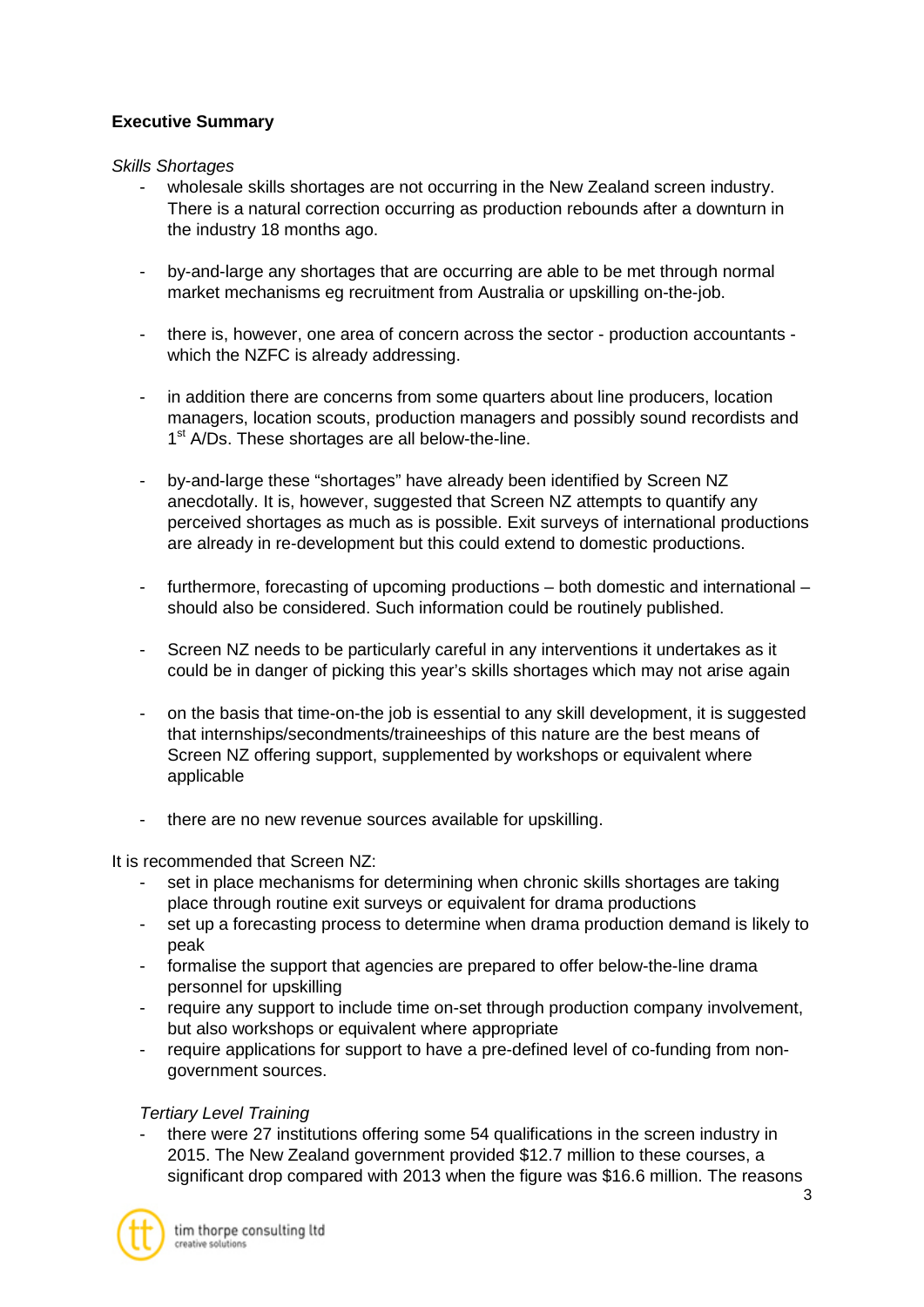# **Executive Summary**

#### *Skills Shortages*

- wholesale skills shortages are not occurring in the New Zealand screen industry. There is a natural correction occurring as production rebounds after a downturn in the industry 18 months ago.
- by-and-large any shortages that are occurring are able to be met through normal market mechanisms eg recruitment from Australia or upskilling on-the-job.
- there is, however, one area of concern across the sector production accountants which the NZFC is already addressing.
- in addition there are concerns from some quarters about line producers, location managers, location scouts, production managers and possibly sound recordists and 1<sup>st</sup> A/Ds. These shortages are all below-the-line.
- by-and-large these "shortages" have already been identified by Screen NZ anecdotally. It is, however, suggested that Screen NZ attempts to quantify any perceived shortages as much as is possible. Exit surveys of international productions are already in re-development but this could extend to domestic productions.
- furthermore, forecasting of upcoming productions both domestic and international should also be considered. Such information could be routinely published.
- Screen NZ needs to be particularly careful in any interventions it undertakes as it could be in danger of picking this year's skills shortages which may not arise again
- on the basis that time-on-the job is essential to any skill development, it is suggested that internships/secondments/traineeships of this nature are the best means of Screen NZ offering support, supplemented by workshops or equivalent where applicable
- there are no new revenue sources available for upskilling.

It is recommended that Screen NZ:

- set in place mechanisms for determining when chronic skills shortages are taking place through routine exit surveys or equivalent for drama productions
- set up a forecasting process to determine when drama production demand is likely to peak
- formalise the support that agencies are prepared to offer below-the-line drama personnel for upskilling
- require any support to include time on-set through production company involvement, but also workshops or equivalent where appropriate
- require applications for support to have a pre-defined level of co-funding from nongovernment sources.

# *Tertiary Level Training*

there were 27 institutions offering some 54 qualifications in the screen industry in 2015. The New Zealand government provided \$12.7 million to these courses, a significant drop compared with 2013 when the figure was \$16.6 million. The reasons

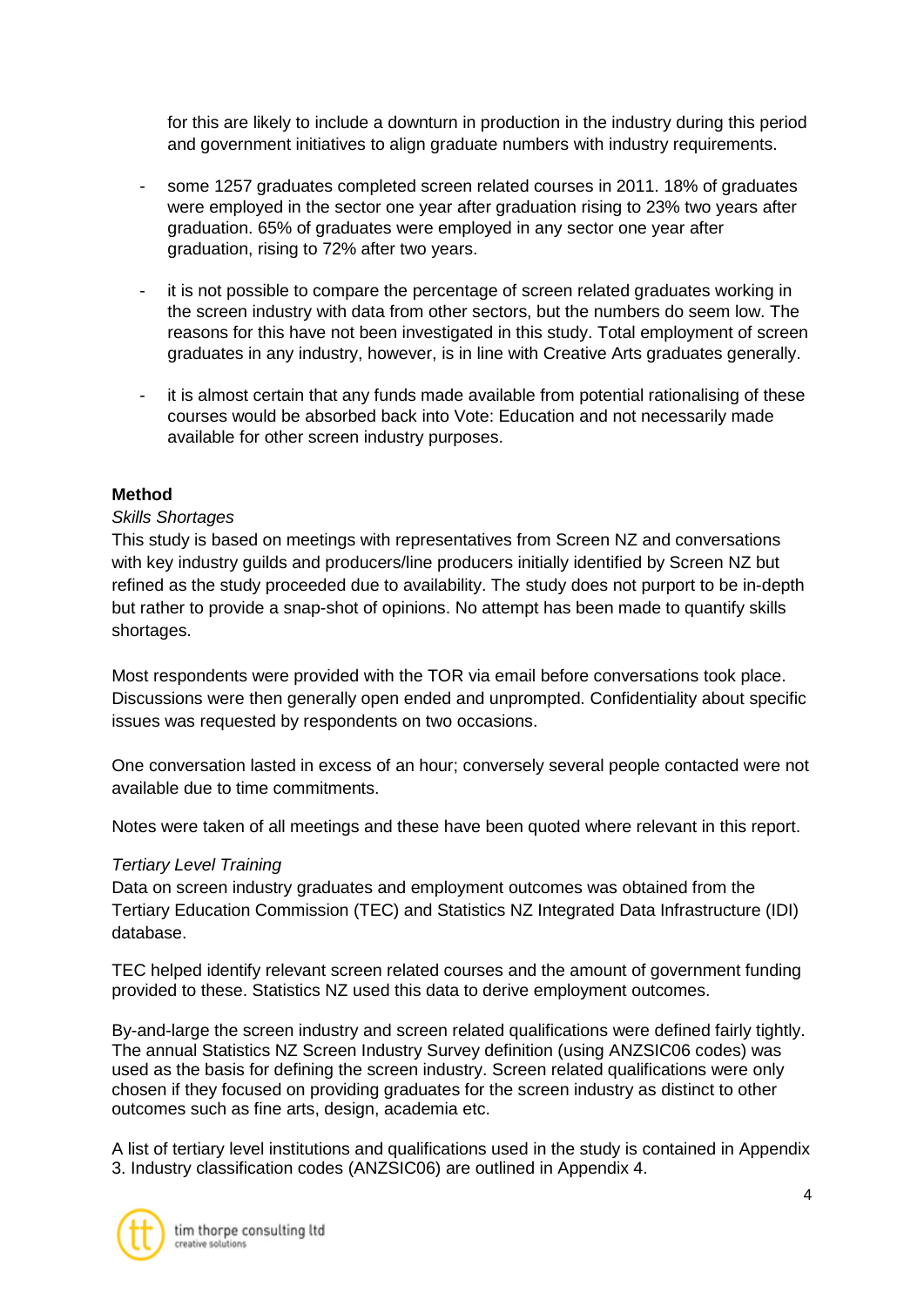for this are likely to include a downturn in production in the industry during this period and government initiatives to align graduate numbers with industry requirements.

- some 1257 graduates completed screen related courses in 2011. 18% of graduates were employed in the sector one year after graduation rising to 23% two years after graduation. 65% of graduates were employed in any sector one year after graduation, rising to 72% after two years.
- it is not possible to compare the percentage of screen related graduates working in the screen industry with data from other sectors, but the numbers do seem low. The reasons for this have not been investigated in this study. Total employment of screen graduates in any industry, however, is in line with Creative Arts graduates generally.
- it is almost certain that any funds made available from potential rationalising of these courses would be absorbed back into Vote: Education and not necessarily made available for other screen industry purposes.

### **Method**

### *Skills Shortages*

This study is based on meetings with representatives from Screen NZ and conversations with key industry guilds and producers/line producers initially identified by Screen NZ but refined as the study proceeded due to availability. The study does not purport to be in-depth but rather to provide a snap-shot of opinions. No attempt has been made to quantify skills shortages.

Most respondents were provided with the TOR via email before conversations took place. Discussions were then generally open ended and unprompted. Confidentiality about specific issues was requested by respondents on two occasions.

One conversation lasted in excess of an hour; conversely several people contacted were not available due to time commitments.

Notes were taken of all meetings and these have been quoted where relevant in this report.

#### *Tertiary Level Training*

Data on screen industry graduates and employment outcomes was obtained from the Tertiary Education Commission (TEC) and Statistics NZ Integrated Data Infrastructure (IDI) database.

TEC helped identify relevant screen related courses and the amount of government funding provided to these. Statistics NZ used this data to derive employment outcomes.

By-and-large the screen industry and screen related qualifications were defined fairly tightly. The annual Statistics NZ Screen Industry Survey definition (using ANZSIC06 codes) was used as the basis for defining the screen industry. Screen related qualifications were only chosen if they focused on providing graduates for the screen industry as distinct to other outcomes such as fine arts, design, academia etc.

A list of tertiary level institutions and qualifications used in the study is contained in Appendix 3. Industry classification codes (ANZSIC06) are outlined in Appendix 4.

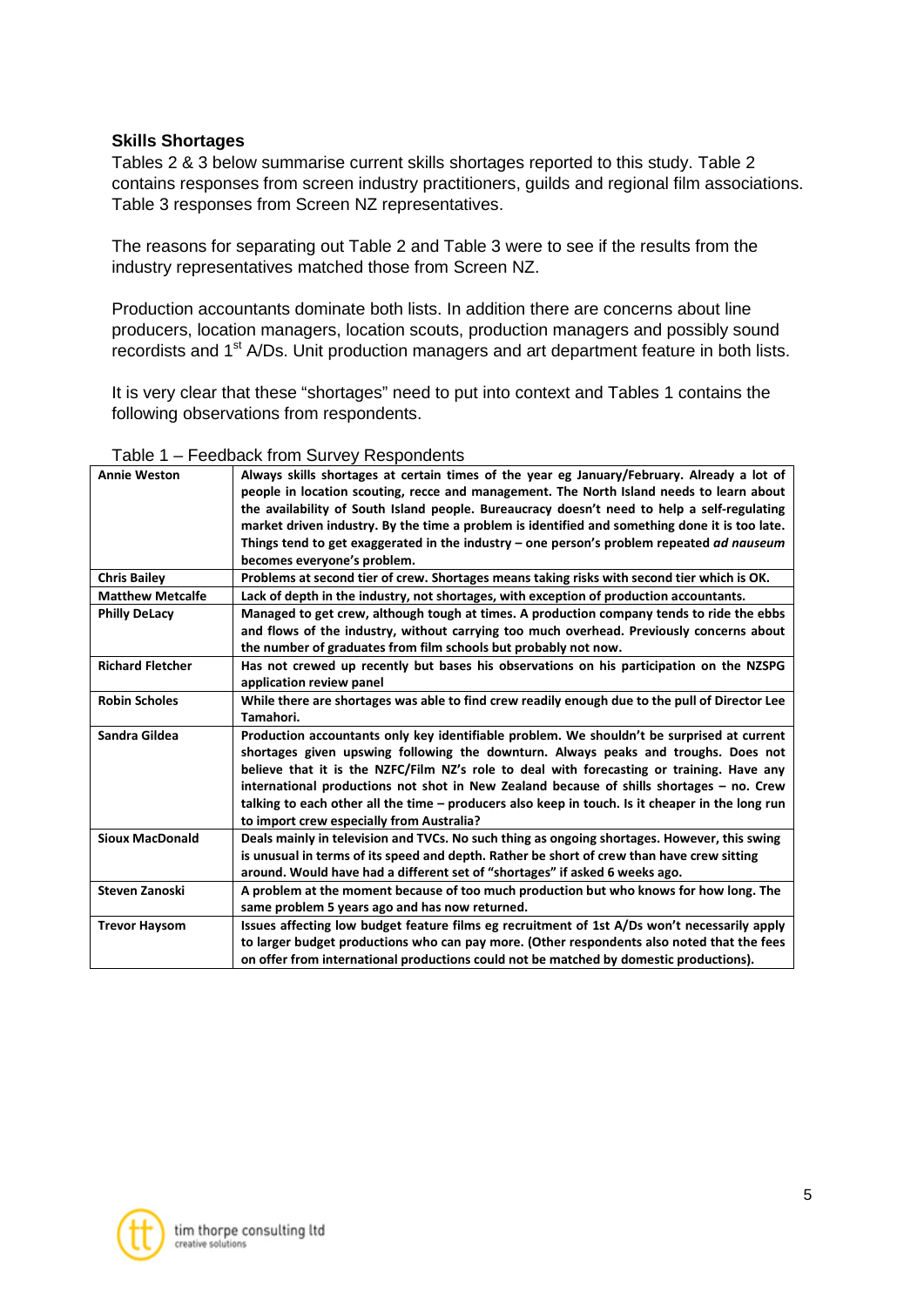### **Skills Shortages**

Tables 2 & 3 below summarise current skills shortages reported to this study. Table 2 contains responses from screen industry practitioners, guilds and regional film associations. Table 3 responses from Screen NZ representatives.

The reasons for separating out Table 2 and Table 3 were to see if the results from the industry representatives matched those from Screen NZ.

Production accountants dominate both lists. In addition there are concerns about line producers, location managers, location scouts, production managers and possibly sound recordists and 1<sup>st</sup> A/Ds. Unit production managers and art department feature in both lists.

It is very clear that these "shortages" need to put into context and Tables 1 contains the following observations from respondents.

| <b>Annie Weston</b>     | Always skills shortages at certain times of the year eg January/February. Already a lot of<br>people in location scouting, recce and management. The North Island needs to learn about<br>the availability of South Island people. Bureaucracy doesn't need to help a self-regulating<br>market driven industry. By the time a problem is identified and something done it is too late.<br>Things tend to get exaggerated in the industry – one person's problem repeated ad nauseum<br>becomes everyone's problem.        |
|-------------------------|----------------------------------------------------------------------------------------------------------------------------------------------------------------------------------------------------------------------------------------------------------------------------------------------------------------------------------------------------------------------------------------------------------------------------------------------------------------------------------------------------------------------------|
| <b>Chris Bailey</b>     | Problems at second tier of crew. Shortages means taking risks with second tier which is OK.                                                                                                                                                                                                                                                                                                                                                                                                                                |
| <b>Matthew Metcalfe</b> | Lack of depth in the industry, not shortages, with exception of production accountants.                                                                                                                                                                                                                                                                                                                                                                                                                                    |
| <b>Philly DeLacy</b>    | Managed to get crew, although tough at times. A production company tends to ride the ebbs                                                                                                                                                                                                                                                                                                                                                                                                                                  |
|                         | and flows of the industry, without carrying too much overhead. Previously concerns about                                                                                                                                                                                                                                                                                                                                                                                                                                   |
|                         | the number of graduates from film schools but probably not now.                                                                                                                                                                                                                                                                                                                                                                                                                                                            |
| <b>Richard Fletcher</b> | Has not crewed up recently but bases his observations on his participation on the NZSPG<br>application review panel                                                                                                                                                                                                                                                                                                                                                                                                        |
| <b>Robin Scholes</b>    | While there are shortages was able to find crew readily enough due to the pull of Director Lee<br>Tamahori.                                                                                                                                                                                                                                                                                                                                                                                                                |
| Sandra Gildea           | Production accountants only key identifiable problem. We shouldn't be surprised at current<br>shortages given upswing following the downturn. Always peaks and troughs. Does not<br>believe that it is the NZFC/Film NZ's role to deal with forecasting or training. Have any<br>international productions not shot in New Zealand because of shills shortages – no. Crew<br>talking to each other all the time - producers also keep in touch. Is it cheaper in the long run<br>to import crew especially from Australia? |
| <b>Sioux MacDonald</b>  | Deals mainly in television and TVCs. No such thing as ongoing shortages. However, this swing<br>is unusual in terms of its speed and depth. Rather be short of crew than have crew sitting<br>around. Would have had a different set of "shortages" if asked 6 weeks ago.                                                                                                                                                                                                                                                  |
| <b>Steven Zanoski</b>   | A problem at the moment because of too much production but who knows for how long. The<br>same problem 5 years ago and has now returned.                                                                                                                                                                                                                                                                                                                                                                                   |
| <b>Trevor Haysom</b>    | Issues affecting low budget feature films eg recruitment of 1st A/Ds won't necessarily apply<br>to larger budget productions who can pay more. (Other respondents also noted that the fees<br>on offer from international productions could not be matched by domestic productions).                                                                                                                                                                                                                                       |
|                         |                                                                                                                                                                                                                                                                                                                                                                                                                                                                                                                            |

#### Table 1 – Feedback from Survey Respondents

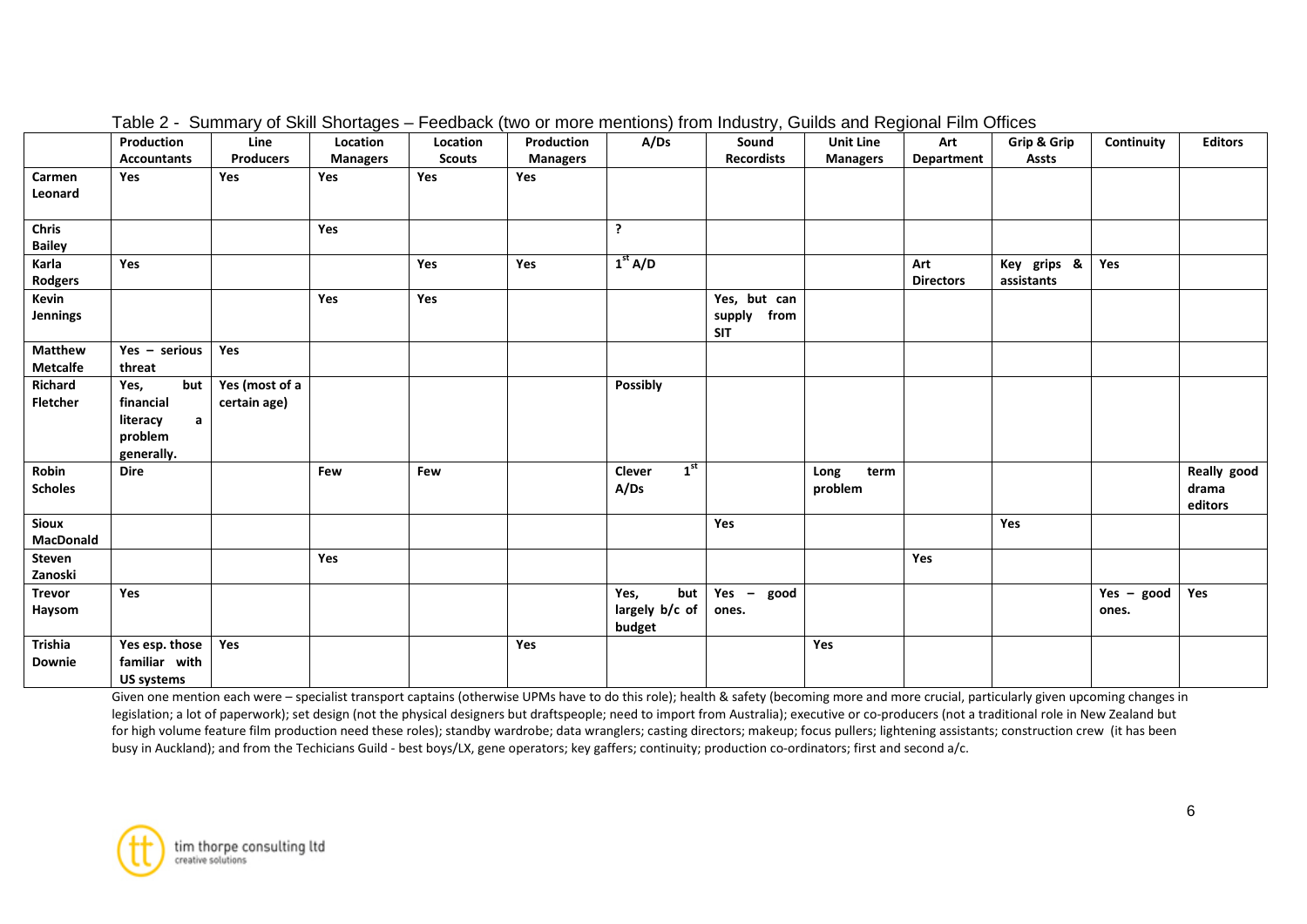|                                   | Production<br><b>Accountants</b>                                              | Line<br><b>Producers</b>       | Location<br><b>Managers</b> | Location<br><b>Scouts</b> | Production<br><b>Managers</b> | A/Ds                                    | Sound<br><b>Recordists</b>                   | <b>Unit Line</b><br><b>Managers</b> | Art<br>Department       | Grip & Grip<br><b>Assts</b> | Continuity            | <b>Editors</b>                  |
|-----------------------------------|-------------------------------------------------------------------------------|--------------------------------|-----------------------------|---------------------------|-------------------------------|-----------------------------------------|----------------------------------------------|-------------------------------------|-------------------------|-----------------------------|-----------------------|---------------------------------|
| Carmen<br>Leonard                 | Yes                                                                           | Yes                            | Yes                         | Yes                       | Yes                           |                                         |                                              |                                     |                         |                             |                       |                                 |
| <b>Chris</b><br><b>Bailey</b>     |                                                                               |                                | Yes                         |                           |                               | ?                                       |                                              |                                     |                         |                             |                       |                                 |
| Karla<br>Rodgers                  | Yes                                                                           |                                |                             | Yes                       | Yes                           | 1 <sup>st</sup> A/D                     |                                              |                                     | Art<br><b>Directors</b> | Key grips &<br>assistants   | Yes                   |                                 |
| Kevin<br>Jennings                 |                                                                               |                                | Yes                         | Yes                       |                               |                                         | Yes, but can<br>from<br>supply<br><b>SIT</b> |                                     |                         |                             |                       |                                 |
| <b>Matthew</b><br><b>Metcalfe</b> | Yes - serious<br>threat                                                       | Yes                            |                             |                           |                               |                                         |                                              |                                     |                         |                             |                       |                                 |
| Richard<br><b>Fletcher</b>        | but<br>Yes,<br>financial<br>$\mathsf{a}$<br>literacy<br>problem<br>generally. | Yes (most of a<br>certain age) |                             |                           |                               | <b>Possibly</b>                         |                                              |                                     |                         |                             |                       |                                 |
| Robin<br><b>Scholes</b>           | <b>Dire</b>                                                                   |                                | Few                         | Few                       |                               | 1 <sup>st</sup><br>Clever<br>A/Ds       |                                              | Long<br>term<br>problem             |                         |                             |                       | Really good<br>drama<br>editors |
| <b>Sioux</b><br>MacDonald         |                                                                               |                                |                             |                           |                               |                                         | Yes                                          |                                     |                         | Yes                         |                       |                                 |
| Steven<br>Zanoski                 |                                                                               |                                | Yes                         |                           |                               |                                         |                                              |                                     | Yes                     |                             |                       |                                 |
| <b>Trevor</b><br>Haysom           | Yes                                                                           |                                |                             |                           |                               | Yes,<br>but<br>largely b/c of<br>budget | $Yes -$<br>good<br>ones.                     |                                     |                         |                             | $Yes - good$<br>ones. | Yes                             |
| <b>Trishia</b><br><b>Downie</b>   | Yes esp. those<br>familiar with<br><b>US systems</b>                          | Yes                            |                             |                           | Yes                           |                                         |                                              | Yes                                 |                         |                             |                       |                                 |

Table 2 - Summary of Skill Shortages – Feedback (two or more mentions) from Industry, Guilds and Regional Film Offices

Given one mention each were - specialist transport captains (otherwise UPMs have to do this role); health & safety (becoming more and more crucial, particularly given upcoming changes in legislation; a lot of paperwork); set design (not the physical designers but draftspeople; need to import from Australia); executive or co-producers (not a traditional role in New Zealand but for high volume feature film production need these roles); standby wardrobe; data wranglers; casting directors; makeup; focus pullers; lightening assistants; construction crew (it has been busy in Auckland); and from the Techicians Guild - best boys/LX, gene operators; key gaffers; continuity; production co-ordinators; first and second a/c.

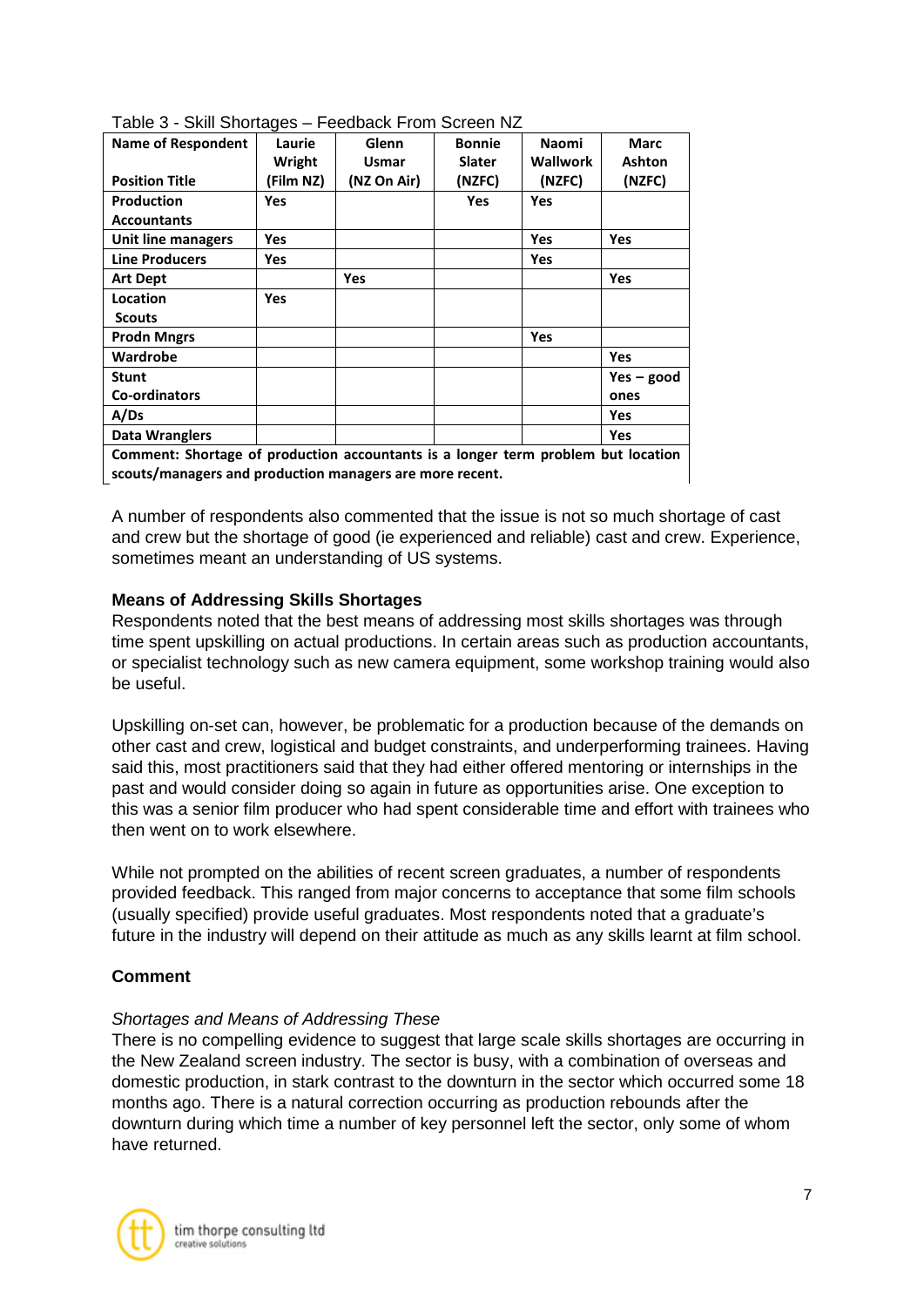| <b>TADIO TELESTION IN THE EXAMPLE THE SUBJECT THAT INCLUDED IN THE EXAMPLE THE EXAMPLE THE EXAMPLE THE EXAMPLE TH</b> |            |              |               |              |               |  |
|-----------------------------------------------------------------------------------------------------------------------|------------|--------------|---------------|--------------|---------------|--|
| <b>Name of Respondent</b>                                                                                             | Laurie     | Glenn        | <b>Bonnie</b> | <b>Naomi</b> | Marc          |  |
|                                                                                                                       | Wright     | <b>Usmar</b> | <b>Slater</b> | Wallwork     | <b>Ashton</b> |  |
| <b>Position Title</b>                                                                                                 | (Film NZ)  | (NZ On Air)  | (NZFC)        | (NZFC)       | (NZFC)        |  |
| Production                                                                                                            | Yes        |              | <b>Yes</b>    | <b>Yes</b>   |               |  |
| <b>Accountants</b>                                                                                                    |            |              |               |              |               |  |
| Unit line managers                                                                                                    | Yes        |              |               | Yes          | <b>Yes</b>    |  |
| <b>Line Producers</b>                                                                                                 | Yes        |              |               | Yes          |               |  |
| <b>Art Dept</b>                                                                                                       |            | <b>Yes</b>   |               |              | <b>Yes</b>    |  |
| Location                                                                                                              | <b>Yes</b> |              |               |              |               |  |
| <b>Scouts</b>                                                                                                         |            |              |               |              |               |  |
| <b>Prodn Mngrs</b>                                                                                                    |            |              |               | Yes          |               |  |
| Wardrobe                                                                                                              |            |              |               |              | <b>Yes</b>    |  |
| <b>Stunt</b>                                                                                                          |            |              |               |              | $Yes - good$  |  |
| <b>Co-ordinators</b>                                                                                                  |            |              |               |              | ones          |  |
| A/Ds                                                                                                                  |            |              |               |              | Yes           |  |
| Data Wranglers<br>Yes                                                                                                 |            |              |               |              |               |  |
| Comment: Shortage of production accountants is a longer term problem but location                                     |            |              |               |              |               |  |
| scouts/managers and production managers are more recent.                                                              |            |              |               |              |               |  |

Table 3 - Skill Shortages – Feedback From Screen NZ

A number of respondents also commented that the issue is not so much shortage of cast and crew but the shortage of good (ie experienced and reliable) cast and crew. Experience, sometimes meant an understanding of US systems.

# **Means of Addressing Skills Shortages**

Respondents noted that the best means of addressing most skills shortages was through time spent upskilling on actual productions. In certain areas such as production accountants, or specialist technology such as new camera equipment, some workshop training would also be useful.

Upskilling on-set can, however, be problematic for a production because of the demands on other cast and crew, logistical and budget constraints, and underperforming trainees. Having said this, most practitioners said that they had either offered mentoring or internships in the past and would consider doing so again in future as opportunities arise. One exception to this was a senior film producer who had spent considerable time and effort with trainees who then went on to work elsewhere.

While not prompted on the abilities of recent screen graduates, a number of respondents provided feedback. This ranged from major concerns to acceptance that some film schools (usually specified) provide useful graduates. Most respondents noted that a graduate's future in the industry will depend on their attitude as much as any skills learnt at film school.

# **Comment**

# *Shortages and Means of Addressing These*

There is no compelling evidence to suggest that large scale skills shortages are occurring in the New Zealand screen industry. The sector is busy, with a combination of overseas and domestic production, in stark contrast to the downturn in the sector which occurred some 18 months ago. There is a natural correction occurring as production rebounds after the downturn during which time a number of key personnel left the sector, only some of whom have returned.

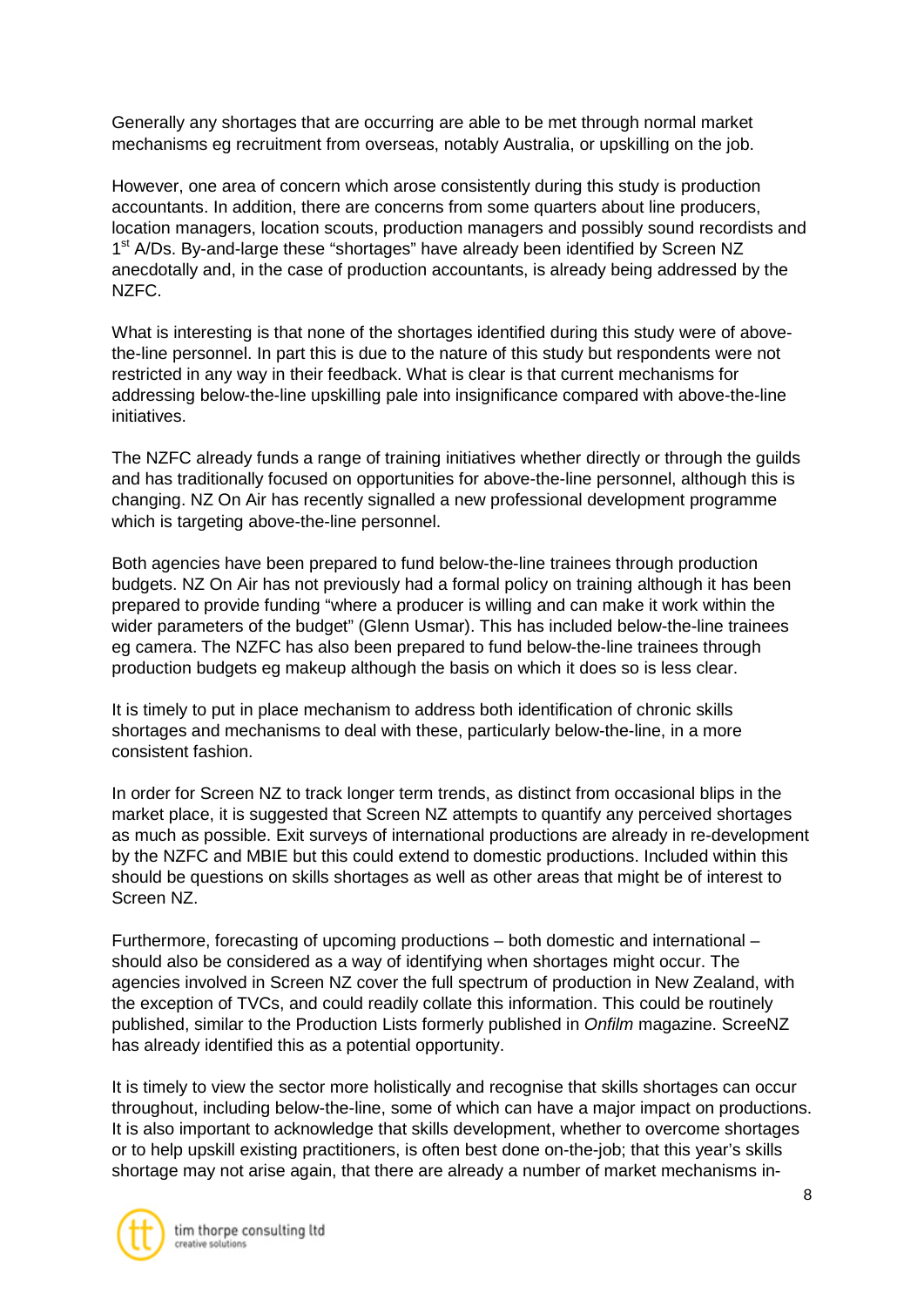Generally any shortages that are occurring are able to be met through normal market mechanisms eg recruitment from overseas, notably Australia, or upskilling on the job.

However, one area of concern which arose consistently during this study is production accountants. In addition, there are concerns from some quarters about line producers, location managers, location scouts, production managers and possibly sound recordists and 1<sup>st</sup> A/Ds. By-and-large these "shortages" have already been identified by Screen NZ anecdotally and, in the case of production accountants, is already being addressed by the NZFC.

What is interesting is that none of the shortages identified during this study were of abovethe-line personnel. In part this is due to the nature of this study but respondents were not restricted in any way in their feedback. What is clear is that current mechanisms for addressing below-the-line upskilling pale into insignificance compared with above-the-line initiatives.

The NZFC already funds a range of training initiatives whether directly or through the guilds and has traditionally focused on opportunities for above-the-line personnel, although this is changing. NZ On Air has recently signalled a new professional development programme which is targeting above-the-line personnel.

Both agencies have been prepared to fund below-the-line trainees through production budgets. NZ On Air has not previously had a formal policy on training although it has been prepared to provide funding "where a producer is willing and can make it work within the wider parameters of the budget" (Glenn Usmar). This has included below-the-line trainees eg camera. The NZFC has also been prepared to fund below-the-line trainees through production budgets eg makeup although the basis on which it does so is less clear.

It is timely to put in place mechanism to address both identification of chronic skills shortages and mechanisms to deal with these, particularly below-the-line, in a more consistent fashion.

In order for Screen NZ to track longer term trends, as distinct from occasional blips in the market place, it is suggested that Screen NZ attempts to quantify any perceived shortages as much as possible. Exit surveys of international productions are already in re-development by the NZFC and MBIE but this could extend to domestic productions. Included within this should be questions on skills shortages as well as other areas that might be of interest to Screen NZ.

Furthermore, forecasting of upcoming productions – both domestic and international – should also be considered as a way of identifying when shortages might occur. The agencies involved in Screen NZ cover the full spectrum of production in New Zealand, with the exception of TVCs, and could readily collate this information. This could be routinely published, similar to the Production Lists formerly published in *Onfilm* magazine. ScreeNZ has already identified this as a potential opportunity.

It is timely to view the sector more holistically and recognise that skills shortages can occur throughout, including below-the-line, some of which can have a major impact on productions. It is also important to acknowledge that skills development, whether to overcome shortages or to help upskill existing practitioners, is often best done on-the-job; that this year's skills shortage may not arise again, that there are already a number of market mechanisms in-

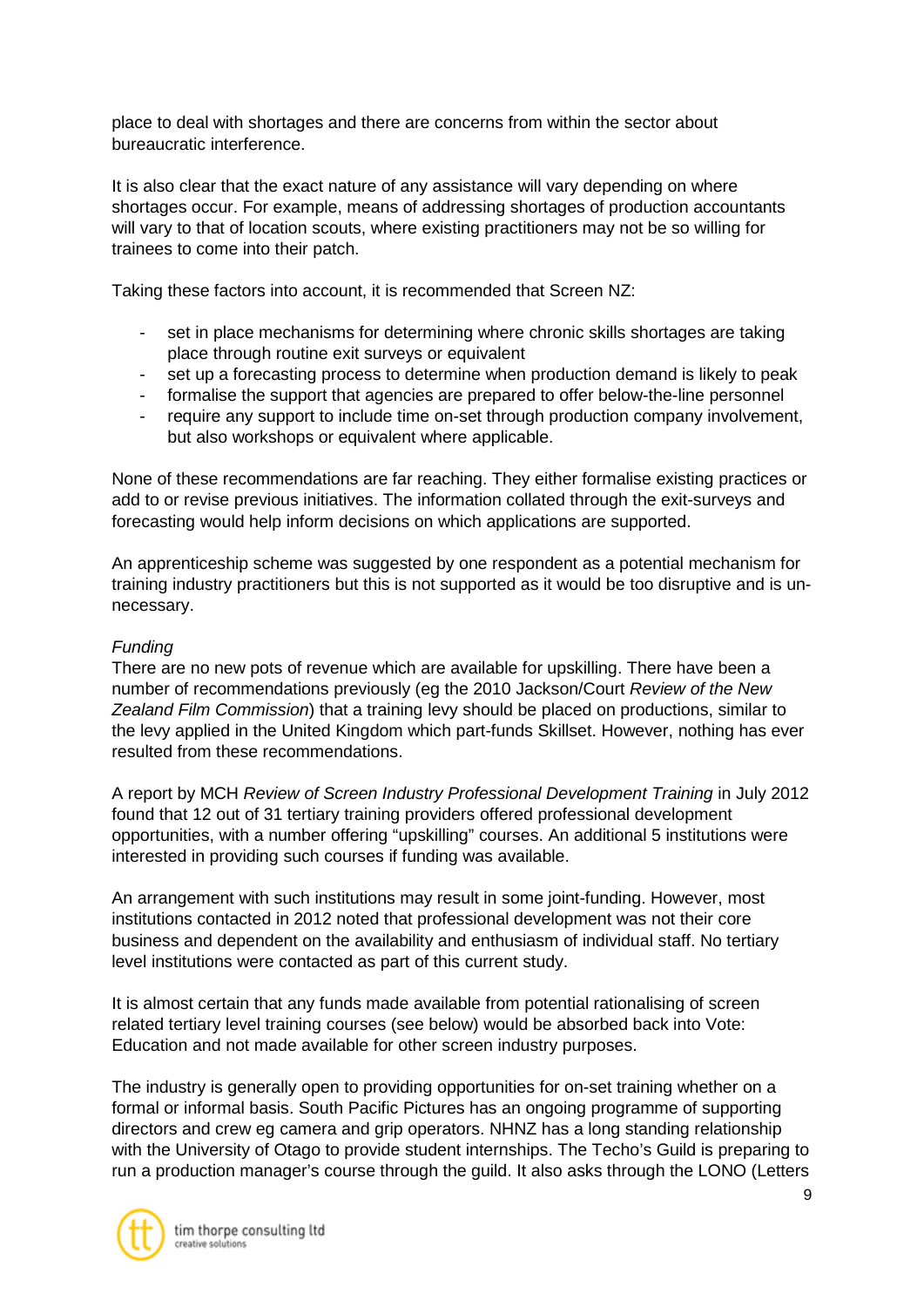place to deal with shortages and there are concerns from within the sector about bureaucratic interference.

It is also clear that the exact nature of any assistance will vary depending on where shortages occur. For example, means of addressing shortages of production accountants will vary to that of location scouts, where existing practitioners may not be so willing for trainees to come into their patch.

Taking these factors into account, it is recommended that Screen NZ:

- set in place mechanisms for determining where chronic skills shortages are taking place through routine exit surveys or equivalent
- set up a forecasting process to determine when production demand is likely to peak
- formalise the support that agencies are prepared to offer below-the-line personnel
- require any support to include time on-set through production company involvement, but also workshops or equivalent where applicable.

None of these recommendations are far reaching. They either formalise existing practices or add to or revise previous initiatives. The information collated through the exit-surveys and forecasting would help inform decisions on which applications are supported.

An apprenticeship scheme was suggested by one respondent as a potential mechanism for training industry practitioners but this is not supported as it would be too disruptive and is unnecessary.

# *Funding*

There are no new pots of revenue which are available for upskilling. There have been a number of recommendations previously (eg the 2010 Jackson/Court *Review of the New Zealand Film Commission*) that a training levy should be placed on productions, similar to the levy applied in the United Kingdom which part-funds Skillset. However, nothing has ever resulted from these recommendations.

A report by MCH *Review of Screen Industry Professional Development Training* in July 2012 found that 12 out of 31 tertiary training providers offered professional development opportunities, with a number offering "upskilling" courses. An additional 5 institutions were interested in providing such courses if funding was available.

An arrangement with such institutions may result in some joint-funding. However, most institutions contacted in 2012 noted that professional development was not their core business and dependent on the availability and enthusiasm of individual staff. No tertiary level institutions were contacted as part of this current study.

It is almost certain that any funds made available from potential rationalising of screen related tertiary level training courses (see below) would be absorbed back into Vote: Education and not made available for other screen industry purposes.

The industry is generally open to providing opportunities for on-set training whether on a formal or informal basis. South Pacific Pictures has an ongoing programme of supporting directors and crew eg camera and grip operators. NHNZ has a long standing relationship with the University of Otago to provide student internships. The Techo's Guild is preparing to run a production manager's course through the guild. It also asks through the LONO (Letters

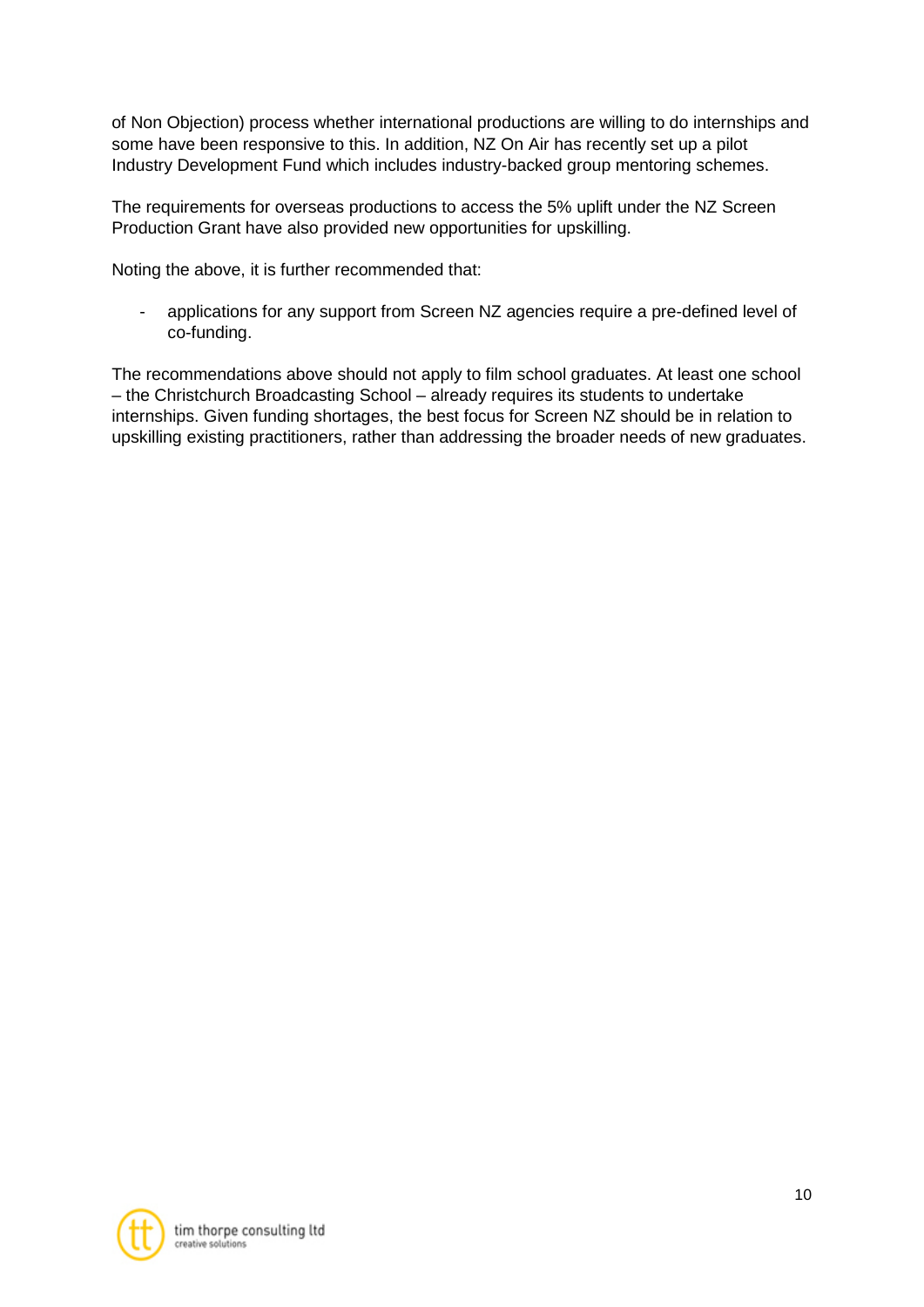of Non Objection) process whether international productions are willing to do internships and some have been responsive to this. In addition, NZ On Air has recently set up a pilot Industry Development Fund which includes industry-backed group mentoring schemes.

The requirements for overseas productions to access the 5% uplift under the NZ Screen Production Grant have also provided new opportunities for upskilling.

Noting the above, it is further recommended that:

- applications for any support from Screen NZ agencies require a pre-defined level of co-funding.

The recommendations above should not apply to film school graduates. At least one school – the Christchurch Broadcasting School – already requires its students to undertake internships. Given funding shortages, the best focus for Screen NZ should be in relation to upskilling existing practitioners, rather than addressing the broader needs of new graduates.

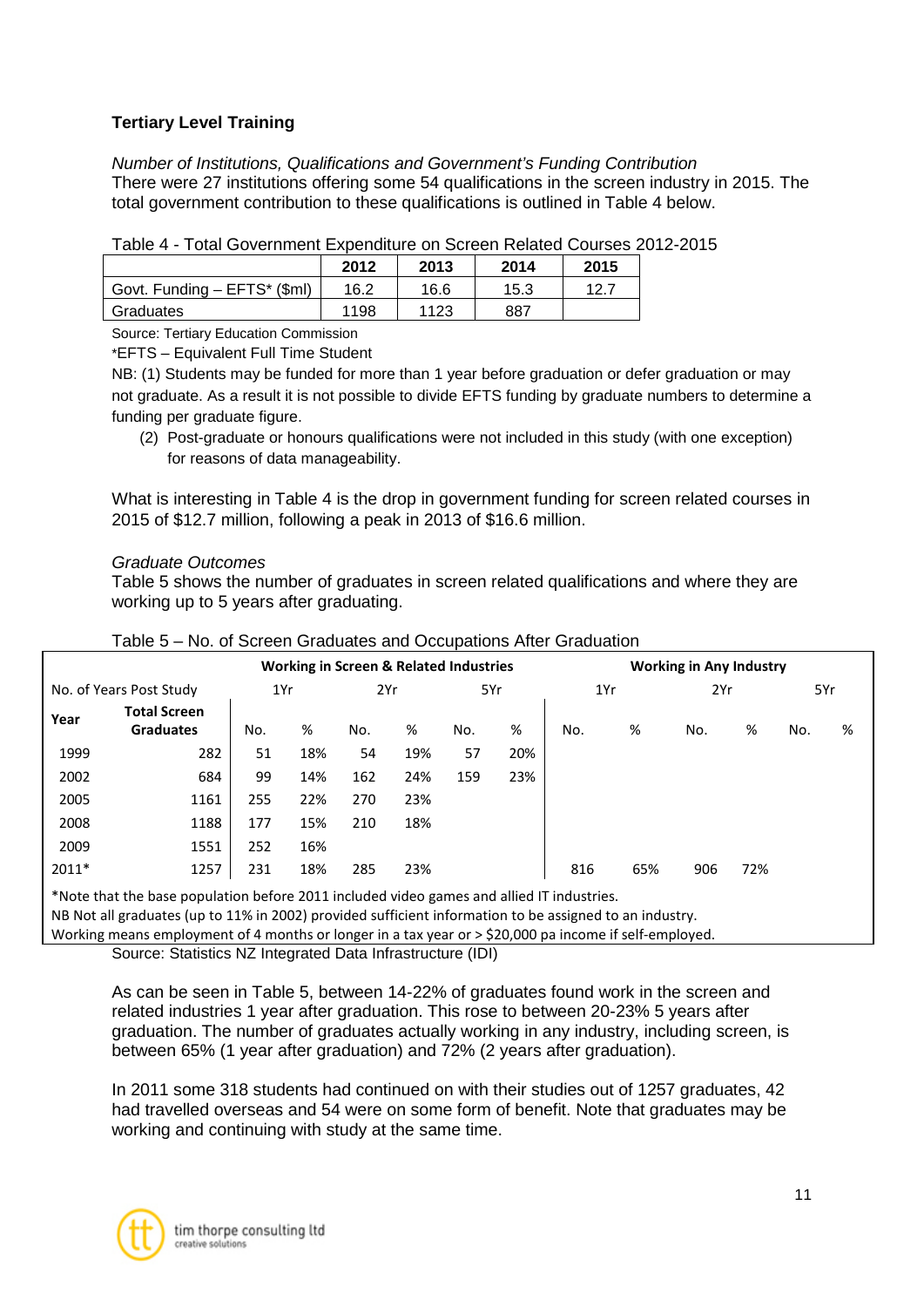# **Tertiary Level Training**

*Number of Institutions, Qualifications and Government's Funding Contribution* There were 27 institutions offering some 54 qualifications in the screen industry in 2015. The total government contribution to these qualifications is outlined in Table 4 below.

| .<br>ו טגשו טטאוטו דוסטוט און טאנושונט און דער דוסוויטער ב |      |      |      |      |  |  |  |  |
|------------------------------------------------------------|------|------|------|------|--|--|--|--|
|                                                            | 2012 | 2013 | 2014 | 2015 |  |  |  |  |
| Govt. Funding - EFTS* (\$ml)                               | 16.2 | 16.6 | 15.3 | 12.7 |  |  |  |  |
| Graduates                                                  | 1198 | 1123 | 887  |      |  |  |  |  |

Table 4 - Total Government Expenditure on Screen Related Courses 2012-2015

Source: Tertiary Education Commission

\*EFTS – Equivalent Full Time Student

NB: (1) Students may be funded for more than 1 year before graduation or defer graduation or may not graduate. As a result it is not possible to divide EFTS funding by graduate numbers to determine a funding per graduate figure.

(2) Post-graduate or honours qualifications were not included in this study (with one exception) for reasons of data manageability.

What is interesting in Table 4 is the drop in government funding for screen related courses in 2015 of \$12.7 million, following a peak in 2013 of \$16.6 million.

### *Graduate Outcomes*

Table 5 shows the number of graduates in screen related qualifications and where they are working up to 5 years after graduating.

|                         |                                         |                   |     | <b>Working in Screen &amp; Related Industries</b> |     |     |     |     |     | <b>Working in Any Industry</b> |     |     |   |
|-------------------------|-----------------------------------------|-------------------|-----|---------------------------------------------------|-----|-----|-----|-----|-----|--------------------------------|-----|-----|---|
| No. of Years Post Study |                                         | 1Yr<br>2Yr<br>5Yr |     |                                                   | 1Yr |     | 2Yr |     | 5Yr |                                |     |     |   |
| Year                    | <b>Total Screen</b><br><b>Graduates</b> | No.               | %   | No.                                               | %   | No. | %   | No. | %   | No.                            | %   | No. | % |
| 1999                    | 282                                     | 51                | 18% | 54                                                | 19% | 57  | 20% |     |     |                                |     |     |   |
| 2002                    | 684                                     | 99                | 14% | 162                                               | 24% | 159 | 23% |     |     |                                |     |     |   |
| 2005                    | 1161                                    | 255               | 22% | 270                                               | 23% |     |     |     |     |                                |     |     |   |
| 2008                    | 1188                                    | 177               | 15% | 210                                               | 18% |     |     |     |     |                                |     |     |   |
| 2009                    | 1551                                    | 252               | 16% |                                                   |     |     |     |     |     |                                |     |     |   |
| 2011*                   | 1257                                    | 231               | 18% | 285                                               | 23% |     |     | 816 | 65% | 906                            | 72% |     |   |

#### Table 5 – No. of Screen Graduates and Occupations After Graduation

\*Note that the base population before 2011 included video games and allied IT industries. NB Not all graduates (up to 11% in 2002) provided sufficient information to be assigned to an industry. Working means employment of 4 months or longer in a tax year or > \$20,000 pa income if self-employed.

Source: Statistics NZ Integrated Data Infrastructure (IDI)

As can be seen in Table 5, between 14-22% of graduates found work in the screen and related industries 1 year after graduation. This rose to between 20-23% 5 years after graduation. The number of graduates actually working in any industry, including screen, is between 65% (1 year after graduation) and 72% (2 years after graduation).

In 2011 some 318 students had continued on with their studies out of 1257 graduates, 42 had travelled overseas and 54 were on some form of benefit. Note that graduates may be working and continuing with study at the same time.

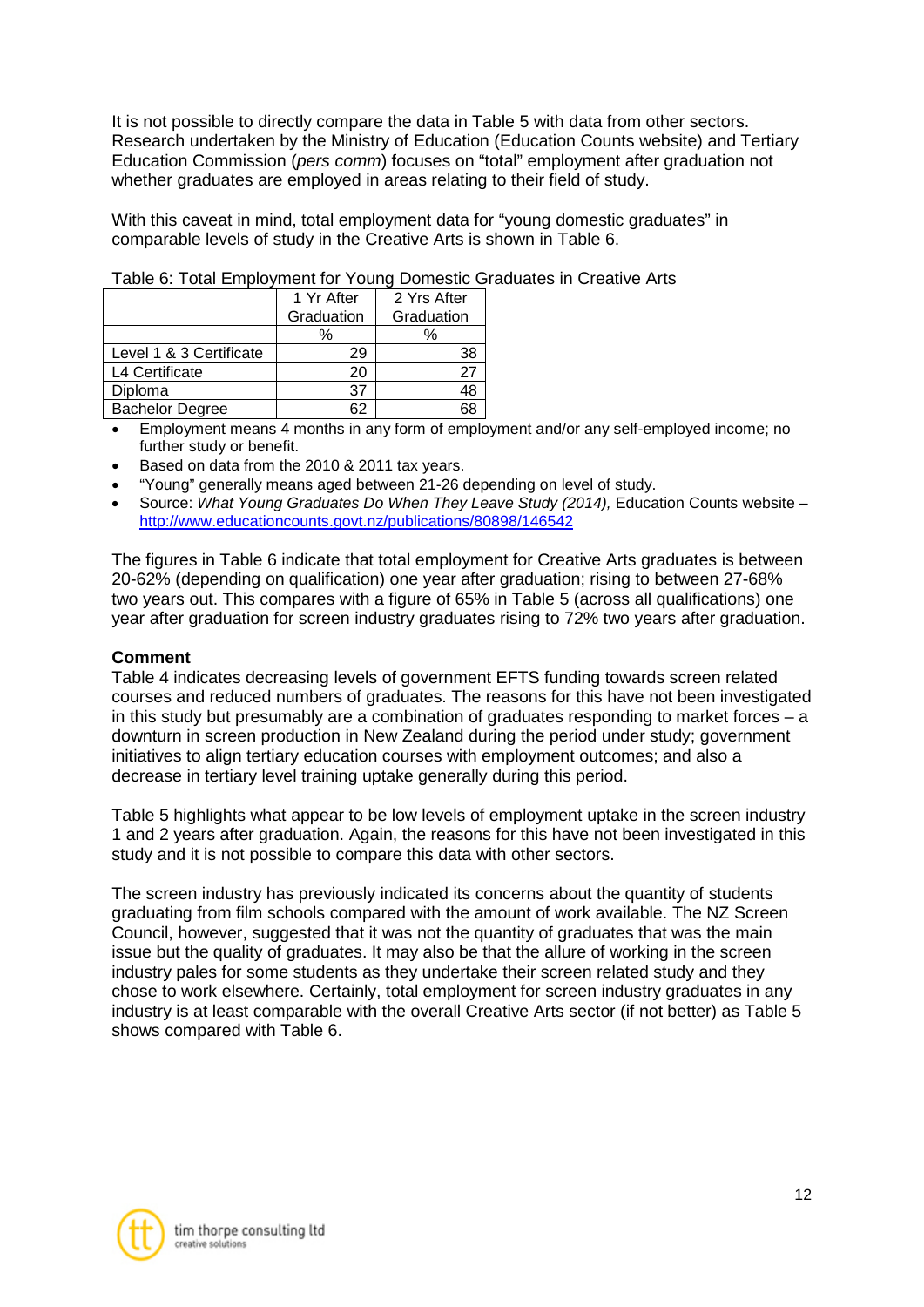It is not possible to directly compare the data in Table 5 with data from other sectors. Research undertaken by the Ministry of Education (Education Counts website) and Tertiary Education Commission (*pers comm*) focuses on "total" employment after graduation not whether graduates are employed in areas relating to their field of study.

With this caveat in mind, total employment data for "young domestic graduates" in comparable levels of study in the Creative Arts is shown in Table 6.

|                         | 1 Yr After | 2 Yrs After |  |  |
|-------------------------|------------|-------------|--|--|
|                         | Graduation | Graduation  |  |  |
|                         | %          | $\%$        |  |  |
| Level 1 & 3 Certificate | 29         |             |  |  |
| L4 Certificate          | 20         |             |  |  |
| Diploma                 | 37         |             |  |  |
| <b>Bachelor Degree</b>  |            |             |  |  |

### Table 6: Total Employment for Young Domestic Graduates in Creative Arts

- Employment means 4 months in any form of employment and/or any self-employed income; no further study or benefit.
- Based on data from the 2010 & 2011 tax years.
- "Young" generally means aged between 21-26 depending on level of study.
- Source: *What Young Graduates Do When They Leave Study (2014),* Education Counts website <http://www.educationcounts.govt.nz/publications/80898/146542>

The figures in Table 6 indicate that total employment for Creative Arts graduates is between 20-62% (depending on qualification) one year after graduation; rising to between 27-68% two years out. This compares with a figure of 65% in Table 5 (across all qualifications) one year after graduation for screen industry graduates rising to 72% two years after graduation.

#### **Comment**

Table 4 indicates decreasing levels of government EFTS funding towards screen related courses and reduced numbers of graduates. The reasons for this have not been investigated in this study but presumably are a combination of graduates responding to market forces – a downturn in screen production in New Zealand during the period under study; government initiatives to align tertiary education courses with employment outcomes; and also a decrease in tertiary level training uptake generally during this period.

Table 5 highlights what appear to be low levels of employment uptake in the screen industry 1 and 2 years after graduation. Again, the reasons for this have not been investigated in this study and it is not possible to compare this data with other sectors.

The screen industry has previously indicated its concerns about the quantity of students graduating from film schools compared with the amount of work available. The NZ Screen Council, however, suggested that it was not the quantity of graduates that was the main issue but the quality of graduates. It may also be that the allure of working in the screen industry pales for some students as they undertake their screen related study and they chose to work elsewhere. Certainly, total employment for screen industry graduates in any industry is at least comparable with the overall Creative Arts sector (if not better) as Table 5 shows compared with Table 6.

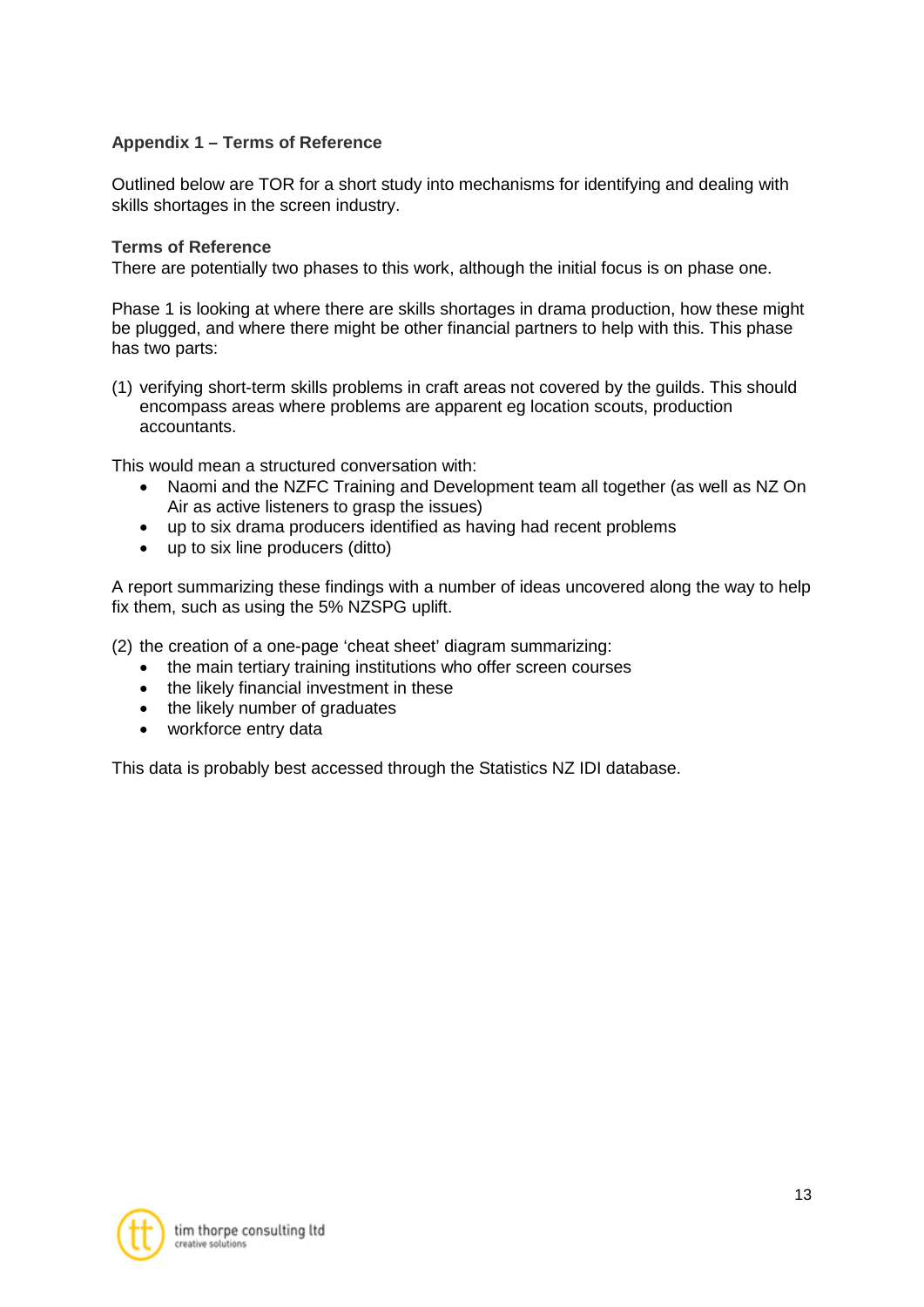# **Appendix 1 – Terms of Reference**

Outlined below are TOR for a short study into mechanisms for identifying and dealing with skills shortages in the screen industry.

#### **Terms of Reference**

There are potentially two phases to this work, although the initial focus is on phase one.

Phase 1 is looking at where there are skills shortages in drama production, how these might be plugged, and where there might be other financial partners to help with this. This phase has two parts:

(1) verifying short-term skills problems in craft areas not covered by the guilds. This should encompass areas where problems are apparent eg location scouts, production accountants.

This would mean a structured conversation with:

- Naomi and the NZFC Training and Development team all together (as well as NZ On Air as active listeners to grasp the issues)
- up to six drama producers identified as having had recent problems
- up to six line producers (ditto)

A report summarizing these findings with a number of ideas uncovered along the way to help fix them, such as using the 5% NZSPG uplift.

(2) the creation of a one-page 'cheat sheet' diagram summarizing:

- the main tertiary training institutions who offer screen courses
- the likely financial investment in these
- the likely number of graduates
- workforce entry data

This data is probably best accessed through the Statistics NZ IDI database.

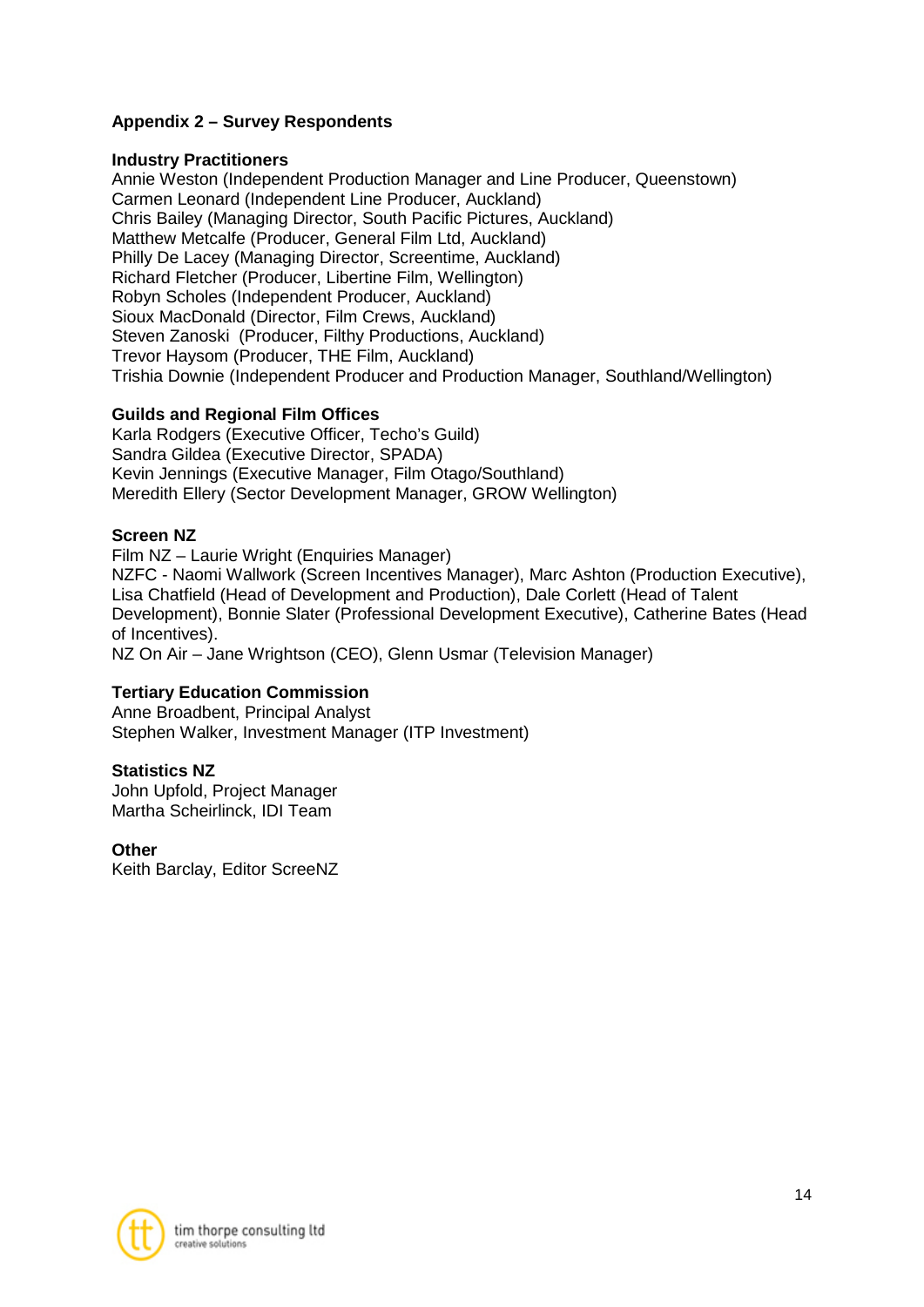# **Appendix 2 – Survey Respondents**

#### **Industry Practitioners**

Annie Weston (Independent Production Manager and Line Producer, Queenstown) Carmen Leonard (Independent Line Producer, Auckland) Chris Bailey (Managing Director, South Pacific Pictures, Auckland) Matthew Metcalfe (Producer, General Film Ltd, Auckland) Philly De Lacey (Managing Director, Screentime, Auckland) Richard Fletcher (Producer, Libertine Film, Wellington) Robyn Scholes (Independent Producer, Auckland) Sioux MacDonald (Director, Film Crews, Auckland) Steven Zanoski (Producer, Filthy Productions, Auckland) Trevor Haysom (Producer, THE Film, Auckland) Trishia Downie (Independent Producer and Production Manager, Southland/Wellington)

### **Guilds and Regional Film Offices**

Karla Rodgers (Executive Officer, Techo's Guild) Sandra Gildea (Executive Director, SPADA) Kevin Jennings (Executive Manager, Film Otago/Southland) Meredith Ellery (Sector Development Manager, GROW Wellington)

### **Screen NZ**

Film NZ – Laurie Wright (Enquiries Manager) NZFC - Naomi Wallwork (Screen Incentives Manager), Marc Ashton (Production Executive), Lisa Chatfield (Head of Development and Production), Dale Corlett (Head of Talent Development), Bonnie Slater (Professional Development Executive), Catherine Bates (Head of Incentives). NZ On Air – Jane Wrightson (CEO), Glenn Usmar (Television Manager)

#### **Tertiary Education Commission**

Anne Broadbent, Principal Analyst Stephen Walker, Investment Manager (ITP Investment)

#### **Statistics NZ**

John Upfold, Project Manager Martha Scheirlinck, IDI Team

#### **Other**

Keith Barclay, Editor ScreeNZ

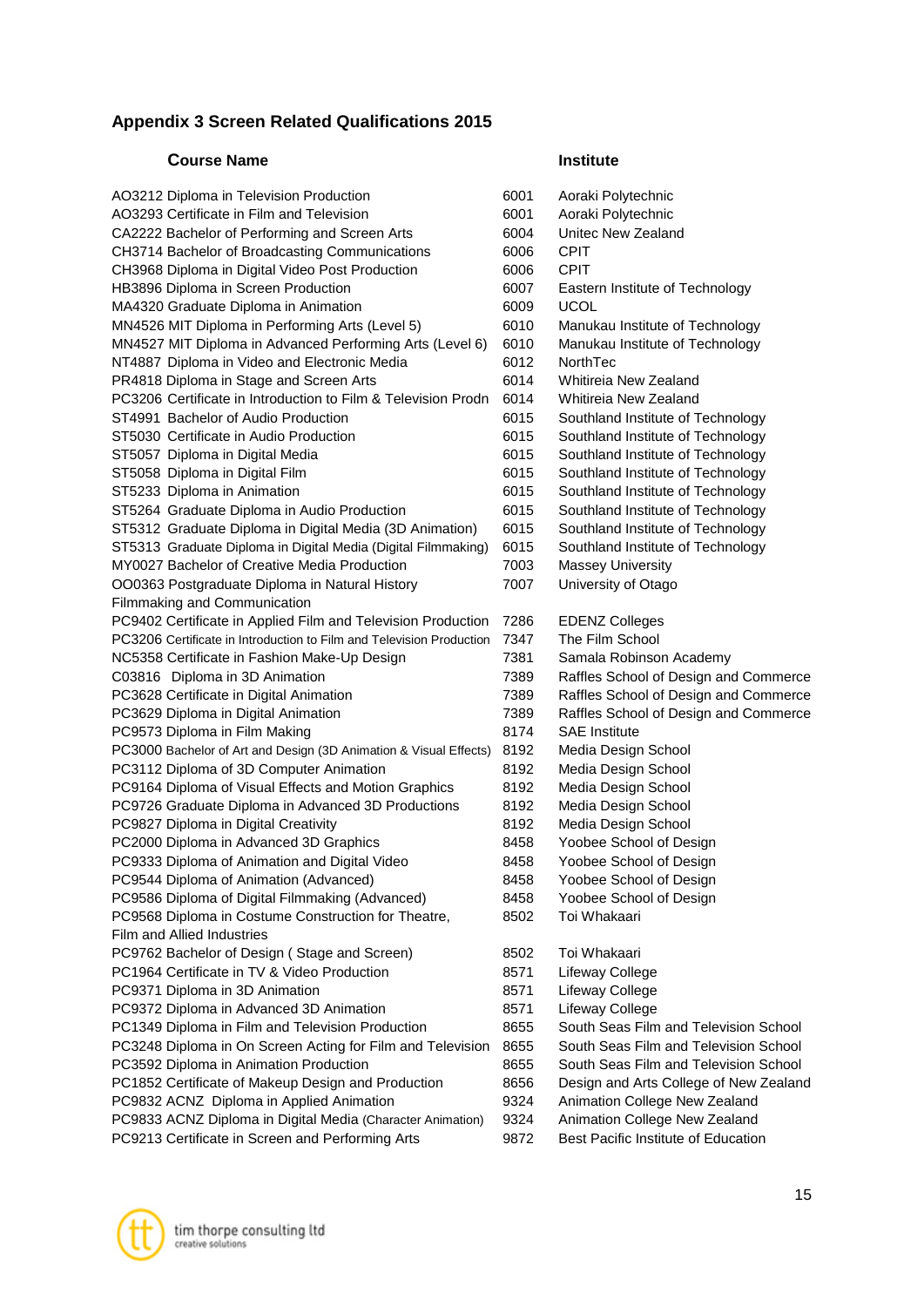# **Appendix 3 Screen Related Qualifications 2015**

#### **Course Name Institute**

| AO3212 Diploma in Television Production                              | 6001 | Aoraki Polytechnic                     |
|----------------------------------------------------------------------|------|----------------------------------------|
| AO3293 Certificate in Film and Television                            | 6001 | Aoraki Polytechnic                     |
| CA2222 Bachelor of Performing and Screen Arts                        | 6004 | Unitec New Zealand                     |
| CH3714 Bachelor of Broadcasting Communications                       | 6006 | <b>CPIT</b>                            |
| CH3968 Diploma in Digital Video Post Production                      | 6006 | <b>CPIT</b>                            |
| HB3896 Diploma in Screen Production                                  | 6007 | Eastern Institute of Technology        |
| MA4320 Graduate Diploma in Animation                                 | 6009 | <b>UCOL</b>                            |
| MN4526 MIT Diploma in Performing Arts (Level 5)                      | 6010 | Manukau Institute of Technology        |
| MN4527 MIT Diploma in Advanced Performing Arts (Level 6)             | 6010 | Manukau Institute of Technology        |
| NT4887 Diploma in Video and Electronic Media                         | 6012 | NorthTec                               |
| PR4818 Diploma in Stage and Screen Arts                              | 6014 | Whitireia New Zealand                  |
| PC3206 Certificate in Introduction to Film & Television Prodn        | 6014 | Whitireia New Zealand                  |
| ST4991 Bachelor of Audio Production                                  | 6015 | Southland Institute of Technology      |
| ST5030 Certificate in Audio Production                               | 6015 | Southland Institute of Technology      |
| ST5057 Diploma in Digital Media                                      | 6015 | Southland Institute of Technology      |
| ST5058 Diploma in Digital Film                                       | 6015 | Southland Institute of Technology      |
| ST5233 Diploma in Animation                                          | 6015 | Southland Institute of Technology      |
| ST5264 Graduate Diploma in Audio Production                          | 6015 | Southland Institute of Technology      |
| ST5312 Graduate Diploma in Digital Media (3D Animation)              | 6015 | Southland Institute of Technology      |
| ST5313 Graduate Diploma in Digital Media (Digital Filmmaking)        | 6015 | Southland Institute of Technology      |
| MY0027 Bachelor of Creative Media Production                         | 7003 | <b>Massey University</b>               |
| OO0363 Postgraduate Diploma in Natural History                       | 7007 | University of Otago                    |
| Filmmaking and Communication                                         |      |                                        |
| PC9402 Certificate in Applied Film and Television Production         | 7286 | <b>EDENZ Colleges</b>                  |
| PC3206 Certificate in Introduction to Film and Television Production | 7347 | The Film School                        |
| NC5358 Certificate in Fashion Make-Up Design                         | 7381 | Samala Robinson Academy                |
| C03816 Diploma in 3D Animation                                       | 7389 | Raffles School of Design and Commerce  |
| PC3628 Certificate in Digital Animation                              | 7389 | Raffles School of Design and Commerce  |
| PC3629 Diploma in Digital Animation                                  | 7389 | Raffles School of Design and Commerce  |
| PC9573 Diploma in Film Making                                        | 8174 | <b>SAE</b> Institute                   |
| PC3000 Bachelor of Art and Design (3D Animation & Visual Effects)    | 8192 | Media Design School                    |
| PC3112 Diploma of 3D Computer Animation                              | 8192 | Media Design School                    |
| PC9164 Diploma of Visual Effects and Motion Graphics                 | 8192 | Media Design School                    |
| PC9726 Graduate Diploma in Advanced 3D Productions                   | 8192 | Media Design School                    |
| PC9827 Diploma in Digital Creativity                                 | 8192 | Media Design School                    |
| PC2000 Diploma in Advanced 3D Graphics                               | 8458 | Yoobee School of Design                |
| PC9333 Diploma of Animation and Digital Video                        | 8458 | Yoobee School of Design                |
| PC9544 Diploma of Animation (Advanced)                               | 8458 | Yoobee School of Design                |
| PC9586 Diploma of Digital Filmmaking (Advanced)                      | 8458 | Yoobee School of Design                |
| PC9568 Diploma in Costume Construction for Theatre,                  | 8502 | Toi Whakaari                           |
| <b>Film and Allied Industries</b>                                    |      |                                        |
| PC9762 Bachelor of Design (Stage and Screen)                         | 8502 | Toi Whakaari                           |
| PC1964 Certificate in TV & Video Production                          | 8571 | Lifeway College                        |
| PC9371 Diploma in 3D Animation                                       | 8571 | Lifeway College                        |
| PC9372 Diploma in Advanced 3D Animation                              | 8571 | Lifeway College                        |
| PC1349 Diploma in Film and Television Production                     | 8655 | South Seas Film and Television School  |
| PC3248 Diploma in On Screen Acting for Film and Television           | 8655 | South Seas Film and Television School  |
| PC3592 Diploma in Animation Production                               | 8655 | South Seas Film and Television School  |
| PC1852 Certificate of Makeup Design and Production                   | 8656 | Design and Arts College of New Zealand |
| PC9832 ACNZ Diploma in Applied Animation                             | 9324 | Animation College New Zealand          |
| PC9833 ACNZ Diploma in Digital Media (Character Animation)           | 9324 | Animation College New Zealand          |
| PC9213 Certificate in Screen and Performing Arts                     | 9872 | Best Pacific Institute of Education    |
|                                                                      |      |                                        |

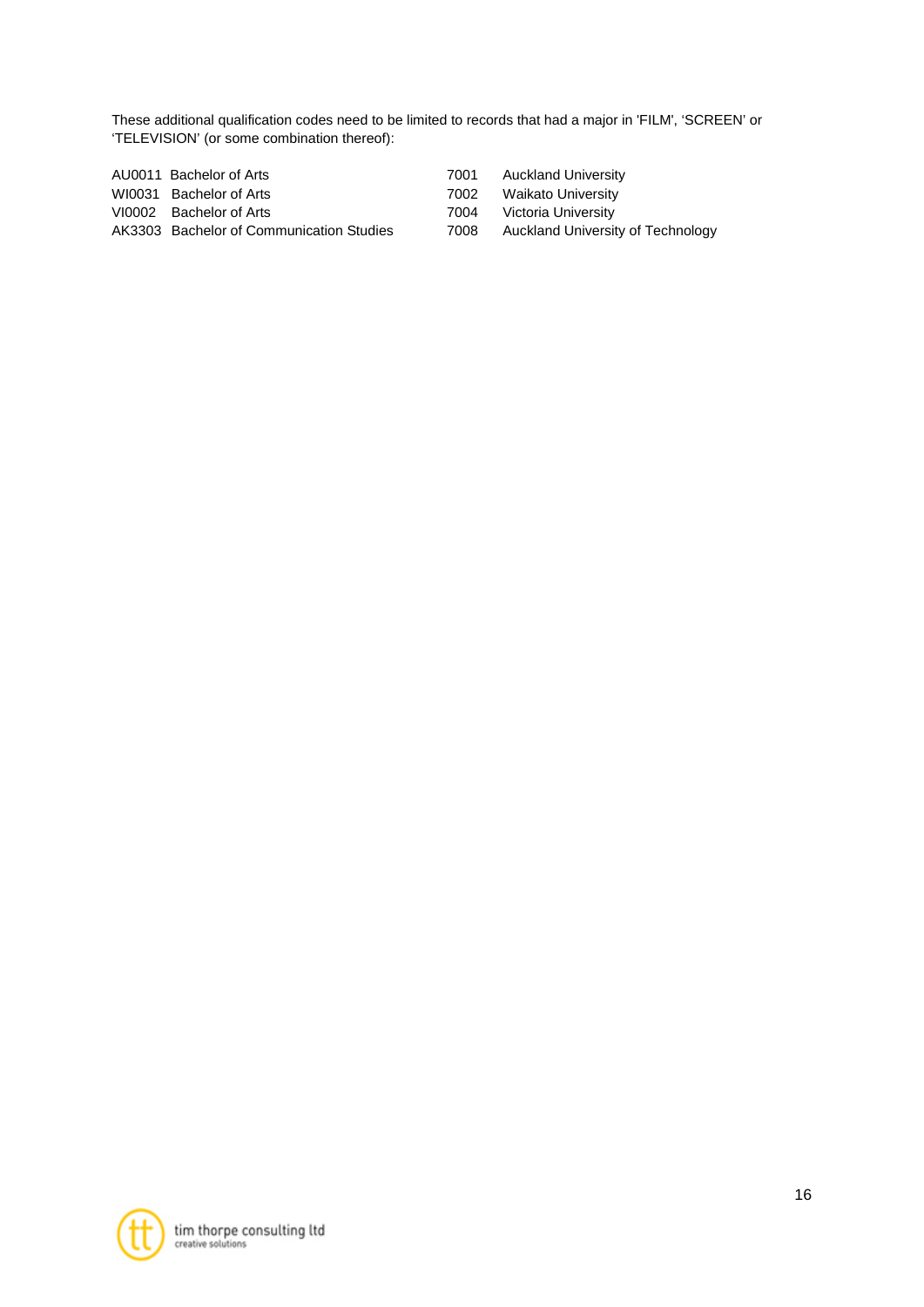These additional qualification codes need to be limited to records that had a major in 'FILM', 'SCREEN' or 'TELEVISION' (or some combination thereof):

| AU0011 Bachelor of Arts                  | 7001 | Auckland University                    |
|------------------------------------------|------|----------------------------------------|
| WI0031 Bachelor of Arts                  |      | 7002 Waikato University                |
| VI0002 Bachelor of Arts                  | 7004 | Victoria University                    |
| AK3303 Bachelor of Communication Studies |      | 7008 Auckland University of Technology |